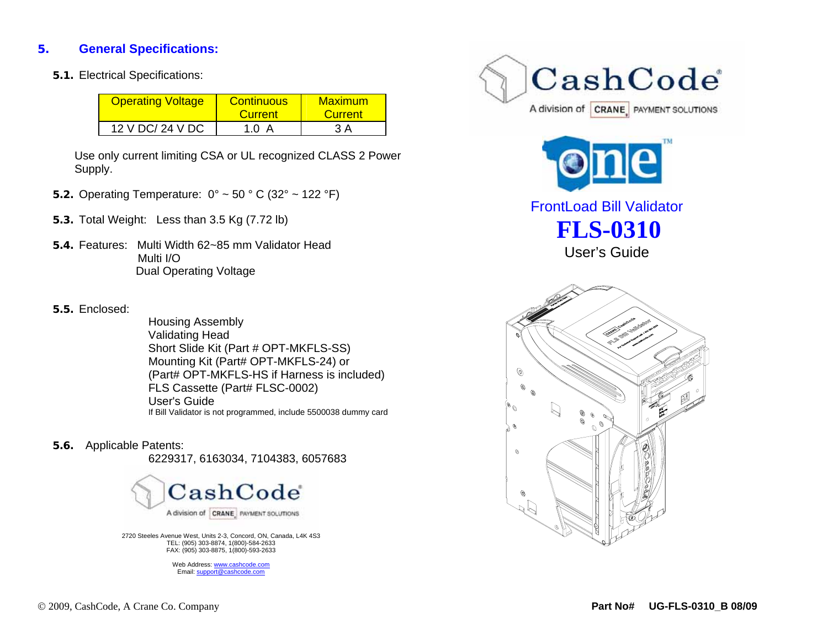## **5.General Specifications:**

**5.1.** Electrical Specifications:

| <b>Operating Voltage</b> | <b>Continuous</b><br><b>Current</b> | Maximum<br><b>Current</b> |
|--------------------------|-------------------------------------|---------------------------|
| 12 V DC/ 24 V DC         | 1.0 A                               | 3 A                       |

Use only current limiting CSA or UL recognized CLASS 2 Power Supply.

- **5.2.** Operating Temperature: 0° ~ 50 ° C (32° ~ 122 °F)
- **5.3.** Total Weight: Less than 3.5 Kg (7.72 lb)
- **5.4.** Features: Multi Width 62~85 mm Validator Head Multi I/O Dual Operating Voltage
- **5.5.** Enclosed:

Housing Assembly Validating Head Short Slide Kit (Part # OPT-MKFLS-SS) Mounting Kit (Part# OPT-MKFLS-24) or (Part# OPT-MKFLS-HS if Harness is included) FLS Cassette (Part# FLSC-0002) User's Guide If Bill Validator is not programmed, include 5500038 dummy card

**5.6.** Applicable Patents:

6229317, 6163034, 7104383, 6057683



2720 Steeles Avenue West, Units 2-3, Concord, ON, Canada, L4K 4S3 TEL: (905) 303-8874, 1(800)-584-2633 FAX: (905) 303-8875, 1(800)-593-2633

> Web Address: www.cashcode.comEmail: support@cashcode.com





FrontLoad Bill Validator **FLS-0310**  User's Guide